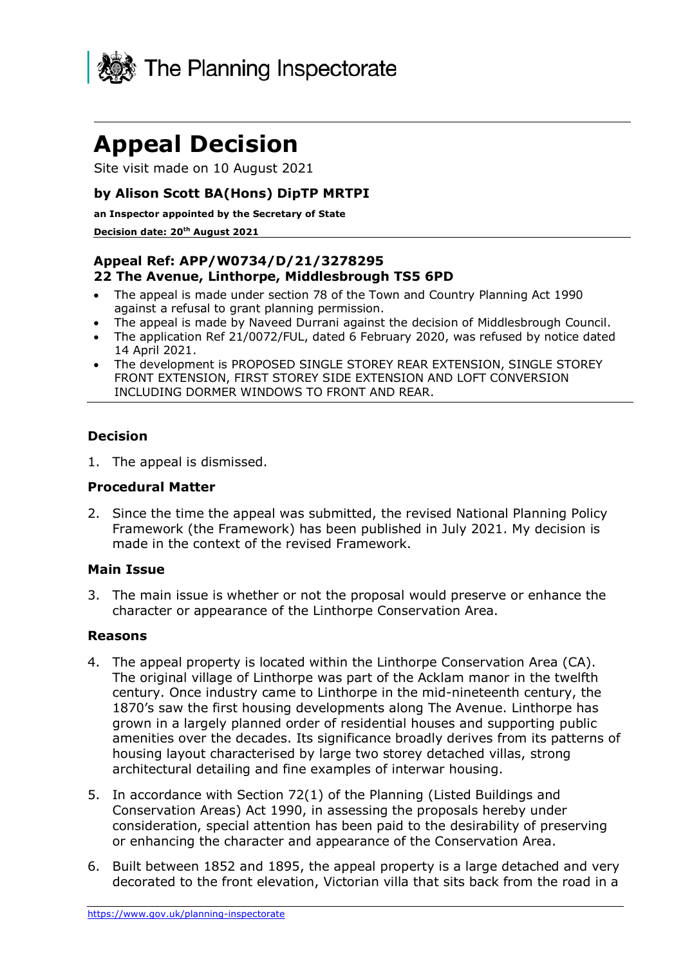

# **Appeal Decision**

Site visit made on 10 August 2021

## **by Alison Scott BA(Hons) DipTP MRTPI**

**an Inspector appointed by the Secretary of State**

#### **Decision date: 20th August 2021**

# **Appeal Ref: APP/W0734/D/21/3278295 22 The Avenue, Linthorpe, Middlesbrough TS5 6PD**

- The appeal is made under section 78 of the Town and Country Planning Act 1990 against a refusal to grant planning permission.
- The appeal is made by Naveed Durrani against the decision of Middlesbrough Council.
- The application Ref 21/0072/FUL, dated 6 February 2020, was refused by notice dated 14 April 2021.
- The development is PROPOSED SINGLE STOREY REAR EXTENSION, SINGLE STOREY FRONT EXTENSION, FIRST STOREY SIDE EXTENSION AND LOFT CONVERSION INCLUDING DORMER WINDOWS TO FRONT AND REAR.

## **Decision**

1. The appeal is dismissed.

#### **Procedural Matter**

2. Since the time the appeal was submitted, the revised National Planning Policy Framework (the Framework) has been published in July 2021. My decision is made in the context of the revised Framework.

#### **Main Issue**

3. The main issue is whether or not the proposal would preserve or enhance the character or appearance of the Linthorpe Conservation Area.

## **Reasons**

- 4. The appeal property is located within the Linthorpe Conservation Area (CA). The original village of Linthorpe was part of the Acklam manor in the twelfth century. Once industry came to Linthorpe in the mid-nineteenth century, the 1870's saw the first housing developments along The Avenue. Linthorpe has grown in a largely planned order of residential houses and supporting public amenities over the decades. Its significance broadly derives from its patterns of housing layout characterised by large two storey detached villas, strong architectural detailing and fine examples of interwar housing.
- 5. In accordance with Section 72(1) of the Planning (Listed Buildings and Conservation Areas) Act 1990, in assessing the proposals hereby under consideration, special attention has been paid to the desirability of preserving or enhancing the character and appearance of the Conservation Area.
- 6. Built between 1852 and 1895, the appeal property is a large detached and very decorated to the front elevation, Victorian villa that sits back from the road in a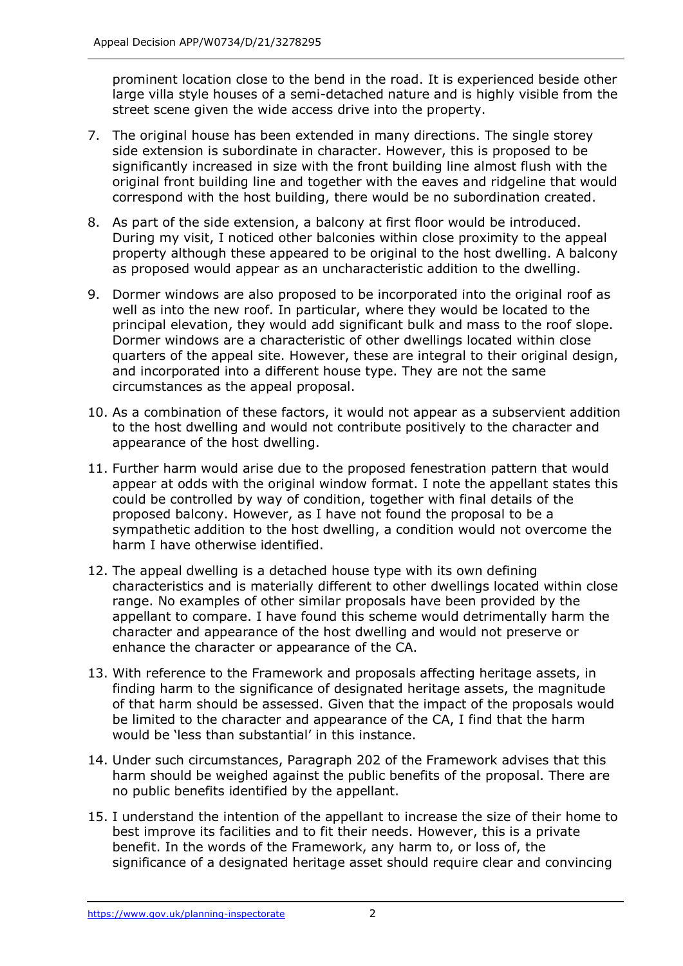prominent location close to the bend in the road. It is experienced beside other large villa style houses of a semi-detached nature and is highly visible from the street scene given the wide access drive into the property.

- 7. The original house has been extended in many directions. The single storey side extension is subordinate in character. However, this is proposed to be significantly increased in size with the front building line almost flush with the original front building line and together with the eaves and ridgeline that would correspond with the host building, there would be no subordination created.
- 8. As part of the side extension, a balcony at first floor would be introduced. During my visit, I noticed other balconies within close proximity to the appeal property although these appeared to be original to the host dwelling. A balcony as proposed would appear as an uncharacteristic addition to the dwelling.
- 9. Dormer windows are also proposed to be incorporated into the original roof as well as into the new roof. In particular, where they would be located to the principal elevation, they would add significant bulk and mass to the roof slope. Dormer windows are a characteristic of other dwellings located within close quarters of the appeal site. However, these are integral to their original design, and incorporated into a different house type. They are not the same circumstances as the appeal proposal.
- 10. As a combination of these factors, it would not appear as a subservient addition to the host dwelling and would not contribute positively to the character and appearance of the host dwelling.
- 11. Further harm would arise due to the proposed fenestration pattern that would appear at odds with the original window format. I note the appellant states this could be controlled by way of condition, together with final details of the proposed balcony. However, as I have not found the proposal to be a sympathetic addition to the host dwelling, a condition would not overcome the harm I have otherwise identified.
- 12. The appeal dwelling is a detached house type with its own defining characteristics and is materially different to other dwellings located within close range. No examples of other similar proposals have been provided by the appellant to compare. I have found this scheme would detrimentally harm the character and appearance of the host dwelling and would not preserve or enhance the character or appearance of the CA.
- 13. With reference to the Framework and proposals affecting heritage assets, in finding harm to the significance of designated heritage assets, the magnitude of that harm should be assessed. Given that the impact of the proposals would be limited to the character and appearance of the CA, I find that the harm would be 'less than substantial' in this instance.
- 14. Under such circumstances, Paragraph 202 of the Framework advises that this harm should be weighed against the public benefits of the proposal. There are no public benefits identified by the appellant.
- 15. I understand the intention of the appellant to increase the size of their home to best improve its facilities and to fit their needs. However, this is a private benefit. In the words of the Framework, any harm to, or loss of, the significance of a designated heritage asset should require clear and convincing